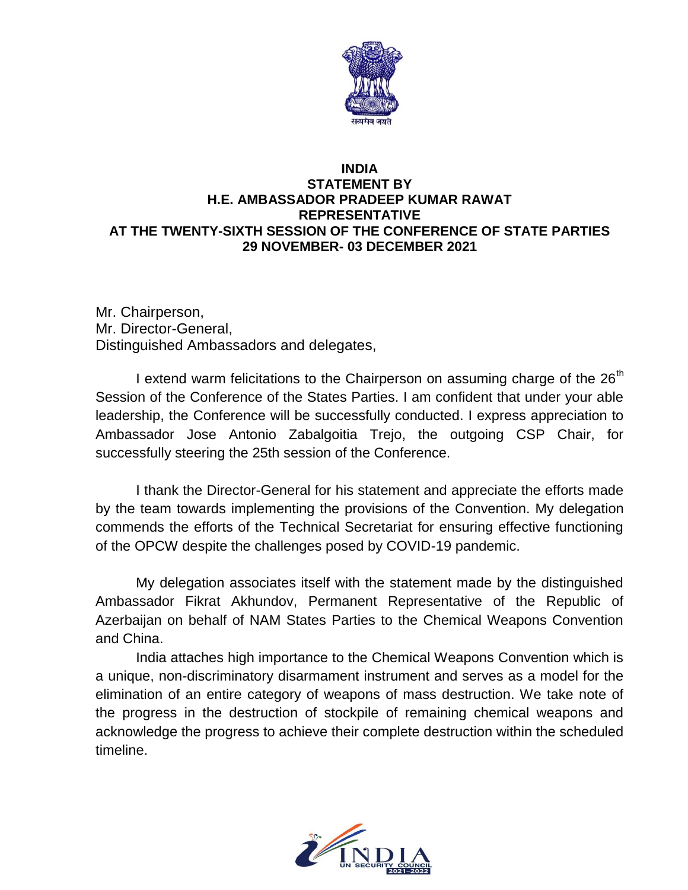

## **INDIA STATEMENT BY H.E. AMBASSADOR PRADEEP KUMAR RAWAT REPRESENTATIVE AT THE TWENTY-SIXTH SESSION OF THE CONFERENCE OF STATE PARTIES 29 NOVEMBER- 03 DECEMBER 2021**

Mr. Chairperson, Mr. Director-General, Distinguished Ambassadors and delegates,

I extend warm felicitations to the Chairperson on assuming charge of the 26<sup>th</sup> Session of the Conference of the States Parties. I am confident that under your able leadership, the Conference will be successfully conducted. I express appreciation to Ambassador Jose Antonio Zabalgoitia Trejo, the outgoing CSP Chair, for successfully steering the 25th session of the Conference.

I thank the Director-General for his statement and appreciate the efforts made by the team towards implementing the provisions of the Convention. My delegation commends the efforts of the Technical Secretariat for ensuring effective functioning of the OPCW despite the challenges posed by COVID-19 pandemic.

My delegation associates itself with the statement made by the distinguished Ambassador Fikrat Akhundov, Permanent Representative of the Republic of Azerbaijan on behalf of NAM States Parties to the Chemical Weapons Convention and China.

India attaches high importance to the Chemical Weapons Convention which is a unique, non-discriminatory disarmament instrument and serves as a model for the elimination of an entire category of weapons of mass destruction. We take note of the progress in the destruction of stockpile of remaining chemical weapons and acknowledge the progress to achieve their complete destruction within the scheduled timeline.

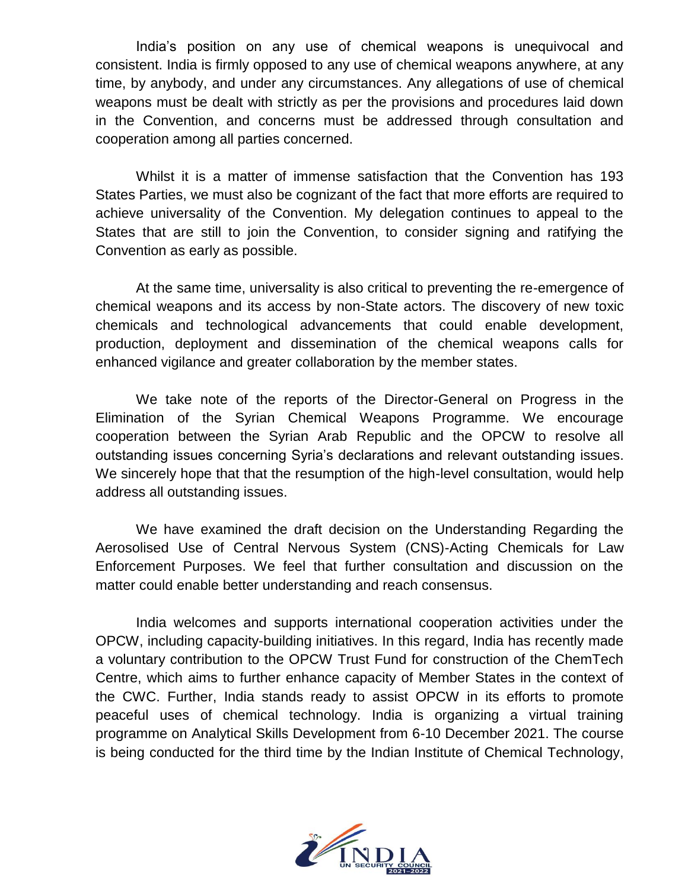India's position on any use of chemical weapons is unequivocal and consistent. India is firmly opposed to any use of chemical weapons anywhere, at any time, by anybody, and under any circumstances. Any allegations of use of chemical weapons must be dealt with strictly as per the provisions and procedures laid down in the Convention, and concerns must be addressed through consultation and cooperation among all parties concerned.

Whilst it is a matter of immense satisfaction that the Convention has 193 States Parties, we must also be cognizant of the fact that more efforts are required to achieve universality of the Convention. My delegation continues to appeal to the States that are still to join the Convention, to consider signing and ratifying the Convention as early as possible.

At the same time, universality is also critical to preventing the re-emergence of chemical weapons and its access by non-State actors. The discovery of new toxic chemicals and technological advancements that could enable development, production, deployment and dissemination of the chemical weapons calls for enhanced vigilance and greater collaboration by the member states.

We take note of the reports of the Director-General on Progress in the Elimination of the Syrian Chemical Weapons Programme. We encourage cooperation between the Syrian Arab Republic and the OPCW to resolve all outstanding issues concerning Syria's declarations and relevant outstanding issues. We sincerely hope that that the resumption of the high-level consultation, would help address all outstanding issues.

We have examined the draft decision on the Understanding Regarding the Aerosolised Use of Central Nervous System (CNS)-Acting Chemicals for Law Enforcement Purposes. We feel that further consultation and discussion on the matter could enable better understanding and reach consensus.

India welcomes and supports international cooperation activities under the OPCW, including capacity-building initiatives. In this regard, India has recently made a voluntary contribution to the OPCW Trust Fund for construction of the ChemTech Centre, which aims to further enhance capacity of Member States in the context of the CWC. Further, India stands ready to assist OPCW in its efforts to promote peaceful uses of chemical technology. India is organizing a virtual training programme on Analytical Skills Development from 6-10 December 2021. The course is being conducted for the third time by the Indian Institute of Chemical Technology,